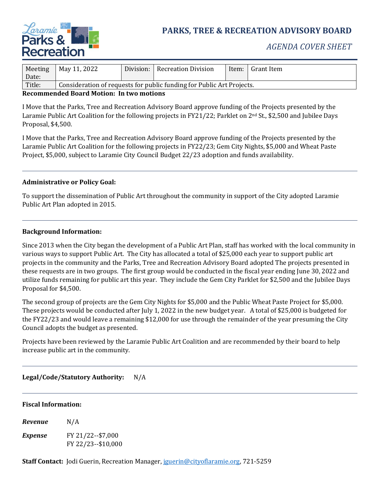

# **PARKS, TREE & RECREATION ADVISORY BOARD**

# *AGENDA COVER SHEET*

| Meeting<br>Date: | May 11, 2022                                                          | Division: | Recreation Division | Item: | Grant Item |
|------------------|-----------------------------------------------------------------------|-----------|---------------------|-------|------------|
| Title:           | Consideration of requests for public funding for Public Art Projects. |           |                     |       |            |

### **Recommended Board Motion: In two motions**

I Move that the Parks, Tree and Recreation Advisory Board approve funding of the Projects presented by the Laramie Public Art Coalition for the following projects in FY21/22; Parklet on 2nd St., \$2,500 and Jubilee Days Proposal, \$4,500.

I Move that the Parks, Tree and Recreation Advisory Board approve funding of the Projects presented by the Laramie Public Art Coalition for the following projects in FY22/23; Gem City Nights, \$5,000 and Wheat Paste Project, \$5,000, subject to Laramie City Council Budget 22/23 adoption and funds availability.

# **Administrative or Policy Goal:**

To support the dissemination of Public Art throughout the community in support of the City adopted Laramie Public Art Plan adopted in 2015.

#### **Background Information:**

Since 2013 when the City began the development of a Public Art Plan, staff has worked with the local community in various ways to support Public Art. The City has allocated a total of \$25,000 each year to support public art projects in the community and the Parks, Tree and Recreation Advisory Board adopted The projects presented in these requests are in two groups. The first group would be conducted in the fiscal year ending June 30, 2022 and utilize funds remaining for public art this year. They include the Gem City Parklet for \$2,500 and the Jubilee Days Proposal for \$4,500.

The second group of projects are the Gem City Nights for \$5,000 and the Public Wheat Paste Project for \$5,000. These projects would be conducted after July 1, 2022 in the new budget year. A total of \$25,000 is budgeted for the FY22/23 and would leave a remaining \$12,000 for use through the remainder of the year presuming the City Council adopts the budget as presented.

Projects have been reviewed by the Laramie Public Art Coalition and are recommended by their board to help increase public art in the community.

# **Legal/Code/Statutory Authority:** N/A

#### **Fiscal Information:**

*Revenue* N/A *Expense* FY 21/22--\$7,000 FY 22/23--\$10,000

**Staff Contact:** Jodi Guerin, Recreation Manager, [jguerin@cityoflaramie.org,](mailto:jguerin@cityoflaramie.org) 721-5259